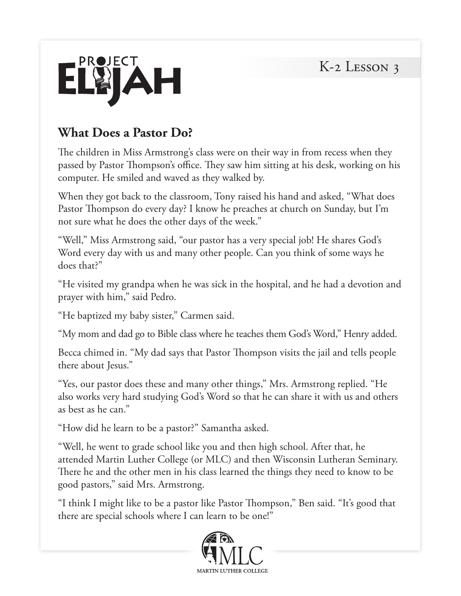

### **What Does a Pastor Do?**

The children in Miss Armstrong's class were on their way in from recess when they passed by Pastor Thompson's office. They saw him sitting at his desk, working on his computer. He smiled and waved as they walked by.

When they got back to the classroom, Tony raised his hand and asked, "What does Pastor Thompson do every day? I know he preaches at church on Sunday, but I'm not sure what he does the other days of the week."

"Well," Miss Armstrong said, "our pastor has a very special job! He shares God's Word every day with us and many other people. Can you think of some ways he does that?"

"He visited my grandpa when he was sick in the hospital, and he had a devotion and prayer with him," said Pedro.

"He baptized my baby sister," Carmen said.

"My mom and dad go to Bible class where he teaches them God's Word," Henry added.

Becca chimed in. "My dad says that Pastor Thompson visits the jail and tells people there about Jesus."

"Yes, our pastor does these and many other things," Mrs. Armstrong replied. "He also works very hard studying God's Word so that he can share it with us and others as best as he can."

"How did he learn to be a pastor?" Samantha asked.

"Well, he went to grade school like you and then high school. After that, he attended Martin Luther College (or MLC) and then Wisconsin Lutheran Seminary. There he and the other men in his class learned the things they need to know to be good pastors," said Mrs. Armstrong.

"I think I might like to be a pastor like Pastor Thompson," Ben said. "It's good that there are special schools where I can learn to be one!"